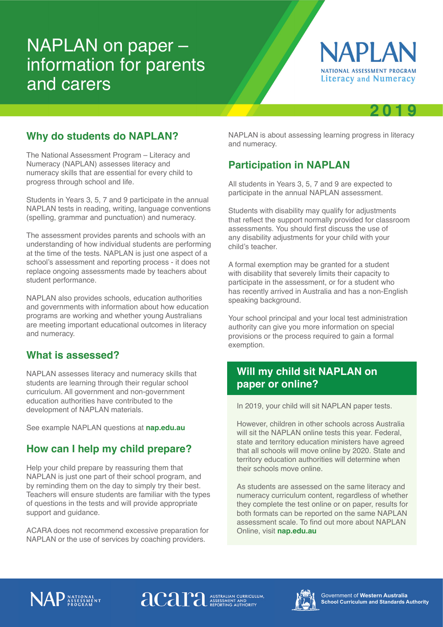# NAPLAN on paper – information for parents and carers





#### **Why do students do NAPLAN?**

The National Assessment Program – Literacy and Numeracy (NAPLAN) assesses literacy and numeracy skills that are essential for every child to progress through school and life.

Students in Years 3, 5, 7 and 9 participate in the annual NAPLAN tests in reading, writing, language conventions (spelling, grammar and punctuation) and numeracy.

The assessment provides parents and schools with an understanding of how individual students are performing at the time of the tests. NAPLAN is just one aspect of a school's assessment and reporting process - it does not replace ongoing assessments made by teachers about student performance.

NAPLAN also provides schools, education authorities and governments with information about how education programs are working and whether young Australians are meeting important educational outcomes in literacy and numeracy.

#### **What is assessed?**

NAPLAN assesses literacy and numeracy skills that students are learning through their regular school curriculum. All government and non-government education authorities have contributed to the development of NAPLAN materials.

See example NAPLAN questions at **nap.edu.au**

## **How can I help my child prepare?**

Help your child prepare by reassuring them that NAPLAN is just one part of their school program, and by reminding them on the day to simply try their best. Teachers will ensure students are familiar with the types of questions in the tests and will provide appropriate support and guidance.

ACARA does not recommend excessive preparation for NAPLAN or the use of services by coaching providers.

NAPLAN is about assessing learning progress in literacy and numeracy.

# **Participation in NAPLAN**

All students in Years 3, 5, 7 and 9 are expected to participate in the annual NAPLAN assessment.

Students with disability may qualify for adjustments that reflect the support normally provided for classroom assessments. You should first discuss the use of any disability adjustments for your child with your child's teacher.

A formal exemption may be granted for a student with disability that severely limits their capacity to participate in the assessment, or for a student who has recently arrived in Australia and has a non-English speaking background.

Your school principal and your local test administration authority can give you more information on special provisions or the process required to gain a formal exemption.

## **Will my child sit NAPLAN on paper or online?**

In 2019, your child will sit NAPLAN paper tests.

However, children in other schools across Australia will sit the NAPLAN online tests this year. Federal, state and territory education ministers have agreed that all schools will move online by 2020. State and territory education authorities will determine when their schools move online.

As students are assessed on the same literacy and numeracy curriculum content, regardless of whether they complete the test online or on paper, results for both formats can be reported on the same NAPLAN assessment scale. To find out more about NAPLAN Online, visit **nap.edu.au**